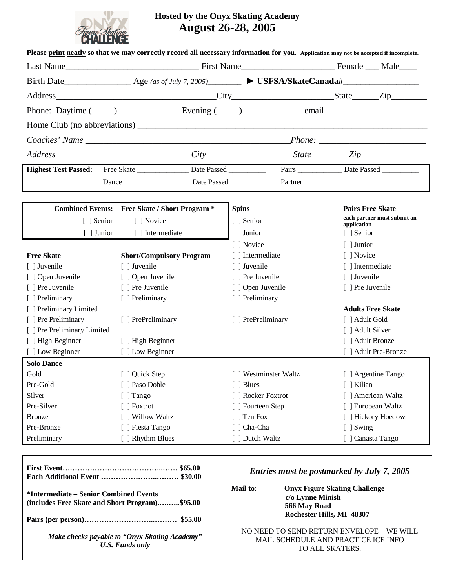

### **Hosted by the Onyx Skating Academy August 26-28, 2005**

|                             | Phone: Daytime $(\_\_\_\_\_\_\_\_\_\$ Evening $(\_\_\_\_\_\_\_\_$ email $\_\_\_\_\_$ |                       |                                                    |
|-----------------------------|--------------------------------------------------------------------------------------|-----------------------|----------------------------------------------------|
|                             |                                                                                      |                       |                                                    |
|                             |                                                                                      |                       |                                                    |
|                             | $Address$ $Address$ $City$ $City$ $State$ $State$ $Zip$                              |                       |                                                    |
| <b>Highest Test Passed:</b> |                                                                                      |                       | Pairs ___________________ Date Passed ____________ |
|                             |                                                                                      |                       | Partner                                            |
|                             |                                                                                      |                       |                                                    |
|                             | <b>Combined Events:</b> Free Skate / Short Program *                                 | <b>Spins</b>          | <b>Pairs Free Skate</b>                            |
| [ ] Senior                  | [ ] Novice                                                                           | [ ] Senior            | each partner must submit an<br>application         |
| $\lceil$ ] Junior           | [ ] Intermediate                                                                     | [ ] Junior            | [ ] Senior                                         |
|                             |                                                                                      | [ ] Novice            | [ ] Junior                                         |
| <b>Free Skate</b>           | <b>Short/Compulsory Program</b>                                                      | [ ] Intermediate      | [ ] Novice                                         |
| [ ] Juvenile                | [ ] Juvenile                                                                         | [ ] Juvenile          | [ ] Intermediate                                   |
| [ ] Open Juvenile           | [ ] Open Juvenile                                                                    | [ ] Pre Juvenile      | [ ] Juvenile                                       |
| [ ] Pre Juvenile            | [ ] Pre Juvenile                                                                     | [ ] Open Juvenile     | [ ] Pre Juvenile                                   |
| [ ] Preliminary             | [ ] Preliminary                                                                      | [ ] Preliminary       |                                                    |
| [ ] Preliminary Limited     |                                                                                      |                       | <b>Adults Free Skate</b>                           |
| [ ] Pre Preliminary         | [ ] PrePreliminary                                                                   | [ ] PrePreliminary    | [ ] Adult Gold                                     |
| [ ] Pre Preliminary Limited |                                                                                      |                       | [ ] Adult Silver                                   |
| [ ] High Beginner           | [ ] High Beginner                                                                    |                       | [ ] Adult Bronze                                   |
| [ ] Low Beginner            | [ ] Low Beginner                                                                     |                       | [ ] Adult Pre-Bronze                               |
| <b>Solo Dance</b>           |                                                                                      |                       |                                                    |
| Gold                        | J Quick Step                                                                         | [ ] Westminster Waltz | [ ] Argentine Tango                                |
| Pre-Gold                    | [ ] Paso Doble                                                                       | [ ] Blues             | [ ] Kilian                                         |
| Silver                      | [ ] Tango                                                                            | [ ] Rocker Foxtrot    | [ ] American Waltz                                 |
| Pre-Silver                  | [ ] Foxtrot                                                                          | [ ] Fourteen Step     | [ ] European Waltz                                 |
| <b>Bronze</b>               | ] Willow Waltz                                                                       | [ ] Ten Fox           | [ ] Hickory Hoedown                                |
| Pre-Bronze                  | ] Fiesta Tango                                                                       | [ ] Cha-Cha           | [ ] Swing                                          |
| Preliminary                 | [ ] Rhythm Blues                                                                     | [ ] Dutch Waltz       | [ ] Canasta Tango                                  |

|                                                                                          | Entries must be postmarked by July 7, 2005                                                          |
|------------------------------------------------------------------------------------------|-----------------------------------------------------------------------------------------------------|
| *Intermediate – Senior Combined Events<br>(includes Free Skate and Short Program)\$95.00 | <b>Onyx Figure Skating Challenge</b><br>Mail to:<br>c/o Lynne Minish<br>566 May Road                |
|                                                                                          | Rochester Hills, MI 48307                                                                           |
| Make checks payable to "Onyx Skating Academy"<br><b>U.S. Funds only</b>                  | NO NEED TO SEND RETURN ENVELOPE – WE WILL<br>MAIL SCHEDULE AND PRACTICE ICE INFO<br>TO ALL SKATERS. |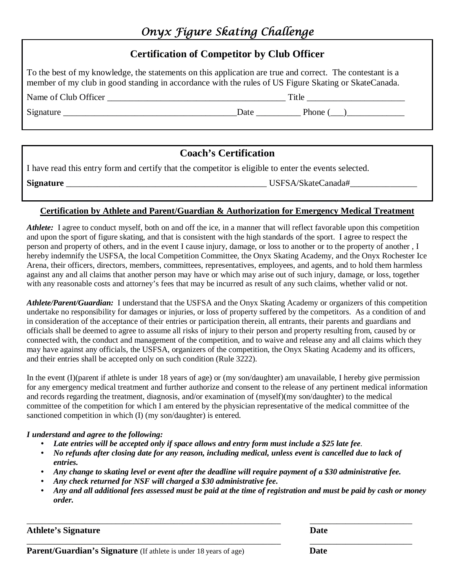## Onyx Figure Skating Challenge

### **Certification of Competitor by Club Officer**

To the best of my knowledge, the statements on this application are true and correct. The contestant is a member of my club in good standing in accordance with the rules of US Figure Skating or SkateCanada.

Name of Club Officer the contract of Club Officer the contract of Club Officer the contract of  $\Gamma$  itle  $\Gamma$ 

Signature Date Date Phone ( $\Box$ )

### **Coach's Certification**

I have read this entry form and certify that the competitor is eligible to enter the events selected.

**Signature** \_\_\_\_\_\_\_\_\_\_\_\_\_\_\_\_\_\_\_\_\_\_\_\_\_\_\_\_\_\_\_\_\_\_\_\_\_\_\_\_\_\_\_\_\_ USFSA/SkateCanada#\_\_\_\_\_\_\_\_\_\_\_\_\_\_\_

### **Certification by Athlete and Parent/Guardian & Authorization for Emergency Medical Treatment**

*Athlete:* I agree to conduct myself, both on and off the ice, in a manner that will reflect favorable upon this competition and upon the sport of figure skating, and that is consistent with the high standards of the sport. I agree to respect the person and property of others, and in the event I cause injury, damage, or loss to another or to the property of another , I hereby indemnify the USFSA, the local Competition Committee, the Onyx Skating Academy, and the Onyx Rochester Ice Arena, their officers, directors, members, committees, representatives, employees, and agents, and to hold them harmless against any and all claims that another person may have or which may arise out of such injury, damage, or loss, together with any reasonable costs and attorney's fees that may be incurred as result of any such claims, whether valid or not.

*Athlete/Parent/Guardian:* I understand that the USFSA and the Onyx Skating Academy or organizers of this competition undertake no responsibility for damages or injuries, or loss of property suffered by the competitors. As a condition of and in consideration of the acceptance of their entries or participation therein, all entrants, their parents and guardians and officials shall be deemed to agree to assume all risks of injury to their person and property resulting from, caused by or connected with, the conduct and management of the competition, and to waive and release any and all claims which they may have against any officials, the USFSA, organizers of the competition, the Onyx Skating Academy and its officers, and their entries shall be accepted only on such condition (Rule 3222).

In the event (I)(parent if athlete is under 18 years of age) or (my son/daughter) am unavailable, I hereby give permission for any emergency medical treatment and further authorize and consent to the release of any pertinent medical information and records regarding the treatment, diagnosis, and/or examination of (myself)(my son/daughter) to the medical committee of the competition for which I am entered by the physician representative of the medical committee of the sanctioned competition in which (I) (my son/daughter) is entered.

#### *I understand and agree to the following:*

- Late entries will be accepted only if space allows and entry form must include a \$25 late fee.
- No refunds after closing date for any reason, including medical, unless event is cancelled due to lack of *entries.*
- Any change to skating level or event after the deadline will require payment of a \$30 administrative fee.

\_\_\_\_\_\_\_\_\_\_\_\_\_\_\_\_\_\_\_\_\_\_\_\_\_\_\_\_\_\_\_\_\_\_\_\_\_\_\_\_\_\_\_\_\_\_\_\_\_\_\_\_\_\_\_\_\_ \_\_\_\_\_\_\_\_\_\_\_\_\_\_\_\_\_\_\_\_\_\_\_

\_\_\_\_\_\_\_\_\_\_\_\_\_\_\_\_\_\_\_\_\_\_\_\_\_\_\_\_\_\_\_\_\_\_\_\_\_\_\_\_\_\_\_\_\_\_\_\_\_\_\_\_\_\_\_\_\_ \_\_\_\_\_\_\_\_\_\_\_\_\_\_\_\_\_\_\_\_\_\_\_

- *Any check returned for NSF will charged a \$30 administrative fee***.**
- Any and all additional fees assessed must be paid at the time of registration and must be paid by cash or money *order.*

#### **Athlete's Signature Date**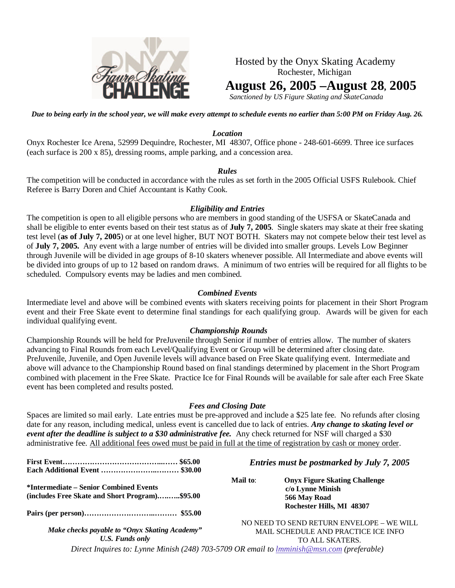

Hosted by the Onyx Skating Academy Rochester, Michigan **August 26, 2005 –August 28, 2005**

*Sanctioned by US Figure Skating and SkateCanada*

Due to being early in the school year, we will make every attempt to schedule events no earlier than 5:00 PM on Friday Aug. 26.

#### *Location*

Onyx Rochester Ice Arena, 52999 Dequindre, Rochester, MI 48307, Office phone - 248-601-6699. Three ice surfaces (each surface is 200 x 85), dressing rooms, ample parking, and a concession area.

#### *Rules*

The competition will be conducted in accordance with the rules as set forth in the 2005 Official USFS Rulebook. Chief Referee is Barry Doren and Chief Accountant is Kathy Cook.

#### *Eligibility and Entries*

The competition is open to all eligible persons who are members in good standing of the USFSA or SkateCanada and shall be eligible to enter events based on their test status as of **July 7, 2005**. Single skaters may skate at their free skating test level (**as of July 7, 2005**) or at one level higher, BUT NOT BOTH. Skaters may not compete below their test level as of **July 7, 2005.** Any event with a large number of entries will be divided into smaller groups. Levels Low Beginner through Juvenile will be divided in age groups of 8-10 skaters whenever possible. All Intermediate and above events will be divided into groups of up to 12 based on random draws. A minimum of two entries will be required for all flights to be scheduled. Compulsory events may be ladies and men combined.

#### *Combined Events*

Intermediate level and above will be combined events with skaters receiving points for placement in their Short Program event and their Free Skate event to determine final standings for each qualifying group. Awards will be given for each individual qualifying event.

#### *Championship Rounds*

Championship Rounds will be held for PreJuvenile through Senior if number of entries allow. The number of skaters advancing to Final Rounds from each Level/Qualifying Event or Group will be determined after closing date. PreJuvenile, Juvenile, and Open Juvenile levels will advance based on Free Skate qualifying event. Intermediate and above will advance to the Championship Round based on final standings determined by placement in the Short Program combined with placement in the Free Skate. Practice Ice for Final Rounds will be available for sale after each Free Skate event has been completed and results posted.

#### *Fees and Closing Date*

Spaces are limited so mail early. Late entries must be pre-approved and include a \$25 late fee. No refunds after closing date for any reason, including medical, unless event is cancelled due to lack of entries. *Any change to skating level or event after the deadline is subject to a \$30 administrative fee.* Any check returned for NSF will charged a \$30 administrative fee. All additional fees owed must be paid in full at the time of registration by cash or money order.

|                                                                                          | Entries must be postmarked by July 7, 2005                                                                        |  |
|------------------------------------------------------------------------------------------|-------------------------------------------------------------------------------------------------------------------|--|
| *Intermediate – Senior Combined Events<br>(includes Free Skate and Short Program)\$95.00 | Mail to:<br><b>Onyx Figure Skating Challenge</b><br>c/o Lynne Minish<br>566 May Road<br>Rochester Hills, MI 48307 |  |
| Make checks payable to "Onyx Skating Academy"<br>U.S. Funds only                         | NO NEED TO SEND RETURN ENVELOPE - WE WILL<br>MAIL SCHEDULE AND PRACTICE ICE INFO<br>TO ALL SKATERS.               |  |
|                                                                                          | Direct Inquires to: Lynne Minish (248) 703-5709 OR email to <i>Imminish@msn.com</i> (preferable)                  |  |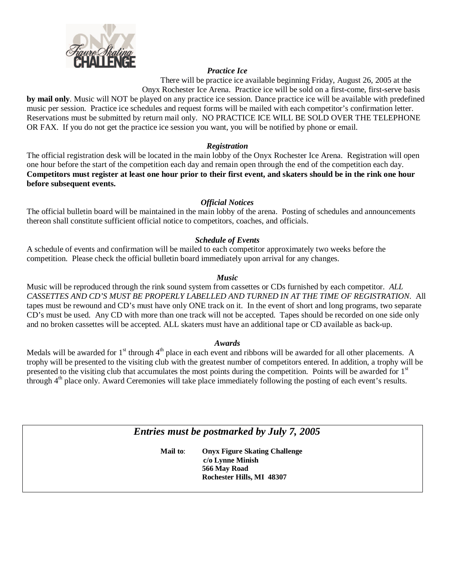

#### *Practice Ice*

There will be practice ice available beginning Friday, August 26, 2005 at the Onyx Rochester Ice Arena. Practice ice will be sold on a first-come, first-serve basis

**by mail only**. Music will NOT be played on any practice ice session. Dance practice ice will be available with predefined music per session. Practice ice schedules and request forms will be mailed with each competitor's confirmation letter. Reservations must be submitted by return mail only. NO PRACTICE ICE WILL BE SOLD OVER THE TELEPHONE OR FAX. If you do not get the practice ice session you want, you will be notified by phone or email.

#### *Registration*

The official registration desk will be located in the main lobby of the Onyx Rochester Ice Arena. Registration will open one hour before the start of the competition each day and remain open through the end of the competition each day. Competitors must register at least one hour prior to their first event, and skaters should be in the rink one hour **before subsequent events.**

#### *Official Notices*

The official bulletin board will be maintained in the main lobby of the arena. Posting of schedules and announcements thereon shall constitute sufficient official notice to competitors, coaches, and officials.

#### *Schedule of Events*

A schedule of events and confirmation will be mailed to each competitor approximately two weeks before the competition. Please check the official bulletin board immediately upon arrival for any changes.

#### *Music*

Music will be reproduced through the rink sound system from cassettes or CDs furnished by each competitor. *ALL CASSETTES AND CD'S MUST BE PROPERLY LABELLED AND TURNED IN AT THE TIME OF REGISTRATION.* All tapes must be rewound and CD's must have only ONE track on it. In the event of short and long programs, two separate CD's must be used. Any CD with more than one track will not be accepted. Tapes should be recorded on one side only and no broken cassettes will be accepted. ALL skaters must have an additional tape or CD available as back-up.

#### *Awards*

Medals will be awarded for  $1<sup>st</sup>$  through  $4<sup>th</sup>$  place in each event and ribbons will be awarded for all other placements. A trophy will be presented to the visiting club with the greatest number of competitors entered. In addition, a trophy will be presented to the visiting club that accumulates the most points during the competition. Points will be awarded for 1<sup>st</sup> through 4 th place only. Award Ceremonies will take place immediately following the posting of each event's results.

*Entries must be postmarked by July 7, 2005*

**Mail to**: **Onyx Figure Skating Challenge c/o Lynne Minish 566 May Road Rochester Hills, MI 48307**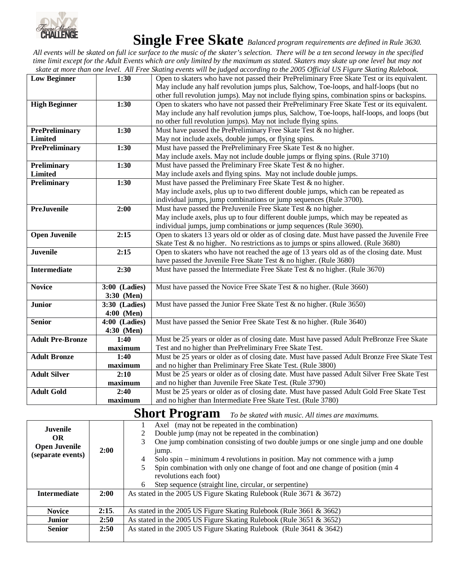

# **Single Free Skate** *Balanced program requirements are defined in Rule 3630.*

All events will be skated on full ice surface to the music of the skater's selection. There will be a ten second leeway in the specified time limit except for the Adult Events which are only limited by the maximum as stated. Skaters may skate up one level but may not skate at more than one level. All Free Skating events will be judged according to the 2005 Official US Figure Skating Rulebook.

|                         |                                 | this cremb min be judged decorating to the 2005 official CB I igain bialling Kalebook.       |
|-------------------------|---------------------------------|----------------------------------------------------------------------------------------------|
| <b>Low Beginner</b>     | 1:30                            | Open to skaters who have not passed their PrePreliminary Free Skate Test or its equivalent.  |
|                         |                                 | May include any half revolution jumps plus, Salchow, Toe-loops, and half-loops (but no       |
|                         |                                 | other full revolution jumps). May not include flying spins, combination spins or backspins.  |
| <b>High Beginner</b>    | 1:30                            | Open to skaters who have not passed their PrePreliminary Free Skate Test or its equivalent.  |
|                         |                                 | May include any half revolution jumps plus, Salchow, Toe-loops, half-loops, and loops (but   |
|                         |                                 | no other full revolution jumps). May not include flying spins.                               |
| <b>PrePreliminary</b>   | 1:30                            | Must have passed the PrePreliminary Free Skate Test & no higher.                             |
| <b>Limited</b>          |                                 | May not include axels, double jumps, or flying spins.                                        |
| <b>PrePreliminary</b>   | 1:30                            | Must have passed the PrePreliminary Free Skate Test $\&$ no higher.                          |
|                         |                                 | May include axels. May not include double jumps or flying spins. (Rule 3710)                 |
| Preliminary             | 1:30                            | Must have passed the Preliminary Free Skate Test & no higher.                                |
| <b>Limited</b>          |                                 | May include axels and flying spins. May not include double jumps.                            |
| Preliminary             | 1:30                            | Must have passed the Preliminary Free Skate Test & no higher.                                |
|                         |                                 | May include axels, plus up to two different double jumps, which can be repeated as           |
|                         |                                 | individual jumps, jump combinations or jump sequences (Rule 3700).                           |
| <b>PreJuvenile</b>      | 2:00                            | Must have passed the PreJuvenile Free Skate Test & no higher.                                |
|                         |                                 | May include axels, plus up to four different double jumps, which may be repeated as          |
|                         |                                 | individual jumps, jump combinations or jump sequences (Rule 3690).                           |
| <b>Open Juvenile</b>    | 2:15                            | Open to skaters 13 years old or older as of closing date. Must have passed the Juvenile Free |
|                         |                                 | Skate Test & no higher. No restrictions as to jumps or spins allowed. (Rule 3680)            |
| <b>Juvenile</b>         | 2:15                            | Open to skaters who have not reached the age of 13 years old as of the closing date. Must    |
|                         |                                 | have passed the Juvenile Free Skate Test & no higher. (Rule 3680)                            |
| <b>Intermediate</b>     | 2:30                            | Must have passed the Intermediate Free Skate Test & no higher. (Rule 3670)                   |
|                         |                                 |                                                                                              |
| <b>Novice</b>           | 3:00 (Ladies)                   | Must have passed the Novice Free Skate Test & no higher. (Rule 3660)                         |
|                         | 3:30 (Men)                      |                                                                                              |
| <b>Junior</b>           | 3:30 (Ladies)                   | Must have passed the Junior Free Skate Test $&$ no higher. (Rule 3650)                       |
|                         | 4:00 (Men)                      |                                                                                              |
| <b>Senior</b>           | 4:00 (Ladies)                   | Must have passed the Senior Free Skate Test $\&$ no higher. (Rule 3640)                      |
|                         | 4:30 (Men)                      |                                                                                              |
| <b>Adult Pre-Bronze</b> | 1:40                            | Must be 25 years or older as of closing date. Must have passed Adult PreBronze Free Skate    |
|                         | maximum                         | Test and no higher than PrePreliminary Free Skate Test.                                      |
| <b>Adult Bronze</b>     | 1:40                            | Must be 25 years or older as of closing date. Must have passed Adult Bronze Free Skate Test  |
|                         | maximum                         | and no higher than Preliminary Free Skate Test. (Rule 3800)                                  |
| <b>Adult Silver</b>     | 2:10                            | Must be 25 years or older as of closing date. Must have passed Adult Silver Free Skate Test  |
|                         | $\mathop{\mathrm{\bf maximum}}$ | and no higher than Juvenile Free Skate Test. (Rule 3790)                                     |
| <b>Adult Gold</b>       | 2:40                            | Must be 25 years or older as of closing date. Must have passed Adult Gold Free Skate Test    |
|                         | maximum                         | and no higher than Intermediate Free Skate Test. (Rule 3780)                                 |

## **Short Program** *To be skated with music. All times are maximums.*

| <b>Juvenile</b><br><b>OR</b><br><b>Open Juvenile</b><br>(separate events) | 2:00  | Axel (may not be repeated in the combination)<br>Double jump (may not be repeated in the combination)<br>One jump combination consisting of two double jumps or one single jump and one double<br>jump.<br>Solo spin – minimum 4 revolutions in position. May not commence with a jump<br>4<br>Spin combination with only one change of foot and one change of position (min 4 |  |
|---------------------------------------------------------------------------|-------|--------------------------------------------------------------------------------------------------------------------------------------------------------------------------------------------------------------------------------------------------------------------------------------------------------------------------------------------------------------------------------|--|
|                                                                           |       | revolutions each foot)<br>Step sequence (straight line, circular, or serpentine)<br>6                                                                                                                                                                                                                                                                                          |  |
| <b>Intermediate</b>                                                       | 2:00  | As stated in the 2005 US Figure Skating Rulebook (Rule 3671 & 3672)                                                                                                                                                                                                                                                                                                            |  |
| <b>Novice</b>                                                             | 2:15. | As stated in the 2005 US Figure Skating Rulebook (Rule 3661 & 3662)                                                                                                                                                                                                                                                                                                            |  |
| <b>Junior</b>                                                             | 2:50  | As stated in the 2005 US Figure Skating Rulebook (Rule 3651 & 3652)                                                                                                                                                                                                                                                                                                            |  |
| <b>Senior</b>                                                             | 2:50  | As stated in the 2005 US Figure Skating Rulebook (Rule 3641 & 3642)                                                                                                                                                                                                                                                                                                            |  |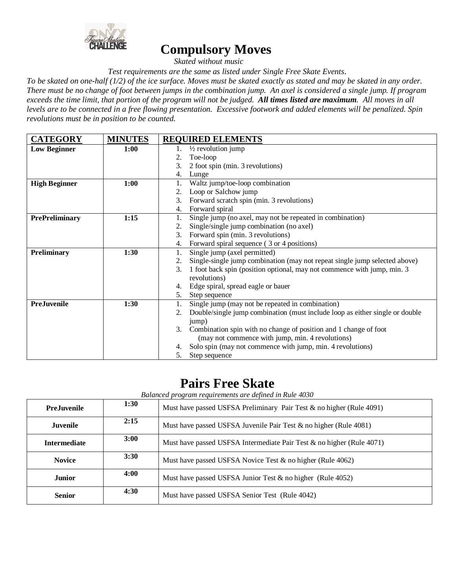

### **Compulsory Moves**

*Skated without music*

*Test requirements are the same as listed under Single Free Skate Events*.

To be skated on one-half (1/2) of the ice surface. Moves must be skated exactly as stated and may be skated in any order. There must be no change of foot between jumps in the combination jump. An axel is considered a single jump. If program exceeds the time limit, that portion of the program will not be judged. All times listed are maximum. All moves in all levels are to be connected in a free flowing presentation. Excessive footwork and added elements will be penalized. Spin *revolutions must be in position to be counted.*

| <b>CATEGORY</b>       | <b>MINUTES</b> | <b>REQUIRED ELEMENTS</b>                                                                       |
|-----------------------|----------------|------------------------------------------------------------------------------------------------|
| <b>Low Beginner</b>   | <b>1:00</b>    | $\frac{1}{2}$ revolution jump<br>1.                                                            |
|                       |                | Toe-loop<br>2.                                                                                 |
|                       |                | 2 foot spin (min. 3 revolutions)<br>3.                                                         |
|                       |                | Lunge<br>4.                                                                                    |
| <b>High Beginner</b>  | 1:00           | Waltz jump/toe-loop combination                                                                |
|                       |                | Loop or Salchow jump<br>2.                                                                     |
|                       |                | Forward scratch spin (min. 3 revolutions)<br>3.                                                |
|                       |                | Forward spiral<br>4.                                                                           |
| <b>PrePreliminary</b> | 1:15           | Single jump (no axel, may not be repeated in combination)                                      |
|                       |                | Single/single jump combination (no axel)<br>2.                                                 |
|                       |                | Forward spin (min. 3 revolutions)<br>3.                                                        |
|                       |                | Forward spiral sequence (3 or 4 positions)<br>4.                                               |
| <b>Preliminary</b>    | 1:30           | Single jump (axel permitted)<br>1.                                                             |
|                       |                | Single-single jump combination (may not repeat single jump selected above)<br>2.               |
|                       |                | 1 foot back spin (position optional, may not commence with jump, min. 3)<br>3.<br>revolutions) |
|                       |                | Edge spiral, spread eagle or bauer<br>4.                                                       |
|                       |                | Step sequence<br>5.                                                                            |
| <b>PreJuvenile</b>    | 1:30           | Single jump (may not be repeated in combination)<br>1.                                         |
|                       |                | Double/single jump combination (must include loop as either single or double<br>2.             |
|                       |                | jump)                                                                                          |
|                       |                | Combination spin with no change of position and 1 change of foot<br>3.                         |
|                       |                | (may not commence with jump, min. 4 revolutions)                                               |
|                       |                | Solo spin (may not commence with jump, min. 4 revolutions)<br>4.                               |
|                       |                | Step sequence<br>5.                                                                            |

### **Pairs Free Skate**

*Balanced program requirements are defined in Rule 4030*

| <b>PreJuvenile</b>  | 1:30 | Must have passed USFSA Preliminary Pair Test & no higher (Rule 4091)  |
|---------------------|------|-----------------------------------------------------------------------|
| <b>Juvenile</b>     | 2:15 | Must have passed USFSA Juvenile Pair Test & no higher (Rule 4081)     |
| <b>Intermediate</b> | 3:00 | Must have passed USFSA Intermediate Pair Test & no higher (Rule 4071) |
| <b>Novice</b>       | 3:30 | Must have passed USFSA Novice Test & no higher (Rule 4062)            |
| <b>Junior</b>       | 4:00 | Must have passed USFSA Junior Test $\&$ no higher (Rule 4052)         |
| <b>Senior</b>       | 4:30 | Must have passed USFSA Senior Test (Rule 4042)                        |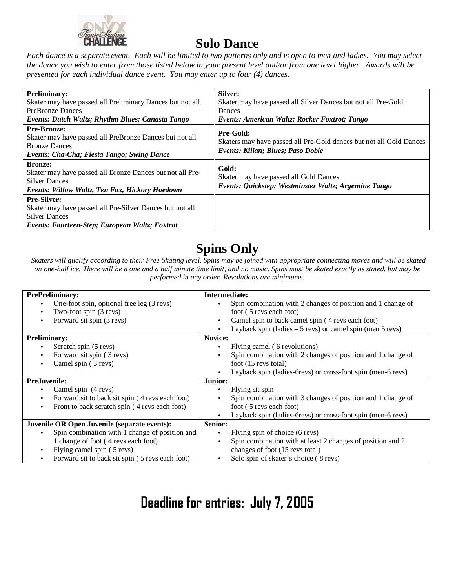

## **Solo Dance**

Each dance is a separate event. Each will be limited to two patterns only and is open to men and ladies. You may select the dance you wish to enter from those listed below in your present level and/or from one level higher. Awards will be *presented for each individual dance event. You may enter up to four (4) dances.*

| <b>Preliminary:</b><br>Skater may have passed all Preliminary Dances but not all<br><b>PreBronze Dances</b>                                                | Silver:<br>Skater may have passed all Silver Dances but not all Pre-Gold<br>Dances                                    |
|------------------------------------------------------------------------------------------------------------------------------------------------------------|-----------------------------------------------------------------------------------------------------------------------|
| Events: Dutch Waltz; Rhythm Blues; Canasta Tango                                                                                                           | Events: American Waltz; Rocker Foxtrot; Tango                                                                         |
| <b>Pre-Bronze:</b><br>Skater may have passed all PreBronze Dances but not all<br><b>Bronze Dances</b><br><b>Events: Cha-Cha; Fiesta Tango; Swing Dance</b> | Pre-Gold:<br>Skaters may have passed all Pre-Gold dances but not all Gold Dances<br>Events: Kilian; Blues; Paso Doble |
| <b>Bronze:</b><br>Skater may have passed all Bronze Dances but not all Pre-<br>Silver Dances.<br><b>Events: Willow Waltz, Ten Fox, Hickory Hoedown</b>     | Gold:<br>Skater may have passed all Gold Dances<br>Events: Quickstep; Westminster Waltz; Argentine Tango              |
| <b>Pre-Silver:</b><br>Skater may have passed all Pre-Silver Dances but not all<br><b>Silver Dances</b><br>Events: Fourteen-Step; European Waltz; Foxtrot   |                                                                                                                       |

## **Spins Only**

Skaters will qualify according to their Free Skating level. Spins may be joined with appropriate connecting moves and will be skated on one-half ice. There will be a one and a half minute time limit, and no music. Spins must be skated exactly as stated, but may be *performed in any order. Revolutions are minimums.*

| <b>PrePreliminary:</b>                                       | Intermediate:                                                           |
|--------------------------------------------------------------|-------------------------------------------------------------------------|
| One-foot spin, optional free leg (3 revs)<br>$\bullet$       | Spin combination with 2 changes of position and 1 change of             |
| Two-foot spin (3 revs)<br>$\bullet$                          | foot (5 revs each foot)                                                 |
| Forward sit spin (3 revs)<br>$\bullet$                       | Camel spin to back camel spin (4 revs each foot)<br>٠                   |
|                                                              | Layback spin (ladies $-5$ revs) or camel spin (men $5$ revs)            |
| <b>Preliminary:</b>                                          | Novice:                                                                 |
| Scratch spin (5 revs)<br>$\bullet$                           | Flying camel (6 revolutions)                                            |
| Forward sit spin (3 revs)<br>$\bullet$                       | Spin combination with 2 changes of position and 1 change of             |
| Camel spin (3 revs)<br>$\bullet$                             | foot $(15$ revs total)                                                  |
|                                                              | Layback spin (ladies-6revs) or cross-foot spin (men-6 revs)             |
| <b>PreJuvenile:</b>                                          | Junior:                                                                 |
| Camel spin (4 revs)                                          | Flying sit spin<br>$\bullet$                                            |
| Forward sit to back sit spin (4 revs each foot)<br>$\bullet$ | Spin combination with 3 changes of position and 1 change of             |
| Front to back scratch spin (4 revs each foot)<br>$\bullet$   | foot (5 revs each foot)                                                 |
|                                                              | Layback spin (ladies-6revs) or cross-foot spin (men-6 revs)             |
| Juvenile OR Open Juvenile (separate events):                 | <b>Senior:</b>                                                          |
| Spin combination with 1 change of position and<br>$\bullet$  | Flying spin of choice (6 revs)<br>$\bullet$                             |
| 1 change of foot (4 revs each foot)                          | Spin combination with at least 2 changes of position and 2<br>$\bullet$ |
| Flying camel spin (5 revs)<br>$\bullet$                      | changes of foot (15 revs total)                                         |
| Forward sit to back sit spin (5 revs each foot)<br>$\bullet$ | Solo spin of skater's choice (8 revs)                                   |

# Deadline for entries: July 7, 2005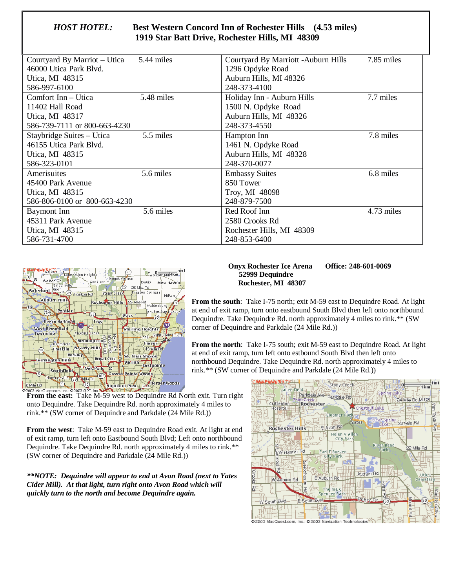| HOST HOTEL: | <b>Best Western Concord Inn of Rochester Hills</b> (4.53 miles) |  |
|-------------|-----------------------------------------------------------------|--|
|             | 1919 Star Batt Drive, Rochester Hills, MI 48309                 |  |

| Courtyard By Marriot – Utica 5.44 miles |            | Courtyard By Marriott - Auburn Hills | 7.85 miles |
|-----------------------------------------|------------|--------------------------------------|------------|
| 46000 Utica Park Blvd.                  |            | 1296 Opdyke Road                     |            |
| Utica, MI 48315                         |            | Auburn Hills, MI 48326               |            |
| 586-997-6100                            |            | 248-373-4100                         |            |
| Comfort Inn – Utica                     | 5.48 miles | Holiday Inn - Auburn Hills           | 7.7 miles  |
| 11402 Hall Road                         |            | 1500 N. Opdyke Road                  |            |
| Utica, MI 48317                         |            | Auburn Hills, MI 48326               |            |
| 586-739-7111 or 800-663-4230            |            | 248-373-4550                         |            |
| Staybridge Suites - Utica               | 5.5 miles  | Hampton Inn                          | 7.8 miles  |
| 46155 Utica Park Blvd.                  |            | 1461 N. Opdyke Road                  |            |
| Utica, MI 48315                         |            | Auburn Hills, MI 48328               |            |
| 586-323-0101                            |            | 248-370-0077                         |            |
| Amerisuites                             | 5.6 miles  | <b>Embassy Suites</b>                | 6.8 miles  |
| 45400 Park Avenue                       |            | 850 Tower                            |            |
| Utica, MI 48315                         |            | Troy, MI 48098                       |            |
| 586-806-0100 or 800-663-4230            |            | 248-879-7500                         |            |
| <b>Baymont</b> Inn                      | 5.6 miles  | Red Roof Inn                         | 4.73 miles |
| 45311 Park Avenue                       |            | 2580 Crooks Rd                       |            |
| Utica, MI 48315                         |            | Rochester Hills, MI 48309            |            |
| 586-731-4700                            |            | 248-853-6400                         |            |



#### **Onyx Rochester Ice Arena Office: 248-601-0069 52999 Dequindre Rochester, MI 48307**

**From the south**: Take I-75 north; exit M-59 east to Dequindre Road. At light at end of exit ramp, turn onto eastbound South Blvd then left onto northbound Dequindre. Take Dequindre Rd. north approximately 4 miles to rink.\*\* (SW corner of Dequindre and Parkdale (24 Mile Rd.))

**From the north**: Take I-75 south; exit M-59 east to Dequindre Road. At light at end of exit ramp, turn left onto estbound South Blvd then left onto northbound Dequindre. Take Dequindre Rd. north approximately 4 miles to rink.\*\* (SW corner of Dequindre and Parkdale (24 Mile Rd.))



**From the east:** Take M-59 west to Dequindre Rd North exit. Turn right onto Dequindre. Take Dequindre Rd. north approximately 4 miles to rink.\*\* (SW corner of Dequindre and Parkdale (24 Mile Rd.))

**From the west**: Take M-59 east to Dequindre Road exit. At light at end of exit ramp, turn left onto Eastbound South Blvd; Left onto northbound Dequindre. Take Dequindre Rd. north approximately 4 miles to rink.\*\* (SW corner of Dequindre and Parkdale (24 Mile Rd.))

*\*\*NOTE: Dequindre will appear to end at Avon Road (next to Yates Cider Mill). At that light, turn right onto Avon Road which will quickly turn to the north and become Dequindre again.*